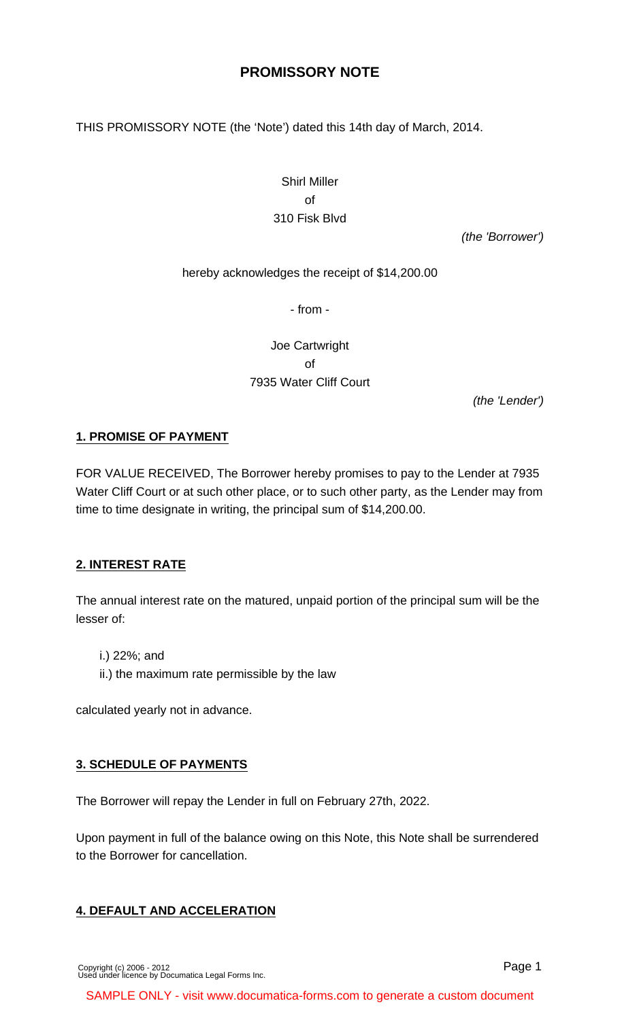# **PROMISSORY NOTE**

THIS PROMISSORY NOTE (the 'Note') dated this 14th day of March, 2014.

# Shirl Miller of 310 Fisk Blvd

(the 'Borrower')

#### hereby acknowledges the receipt of \$14,200.00

- from -

Joe Cartwright of 7935 Water Cliff Court

(the 'Lender')

#### **1. PROMISE OF PAYMENT**

FOR VALUE RECEIVED, The Borrower hereby promises to pay to the Lender at 7935 Water Cliff Court or at such other place, or to such other party, as the Lender may from time to time designate in writing, the principal sum of \$14,200.00.

#### **2. INTEREST RATE**

The annual interest rate on the matured, unpaid portion of the principal sum will be the lesser of:

i.) 22%; and

ii.) the maximum rate permissible by the law

calculated yearly not in advance.

#### **3. SCHEDULE OF PAYMENTS**

The Borrower will repay the Lender in full on February 27th, 2022.

Upon payment in full of the balance owing on this Note, this Note shall be surrendered to the Borrower for cancellation.

#### **4. DEFAULT AND ACCELERATION**

Page 1

SAMPLE ONLY - visit www.documatica-forms.com to generate a custom document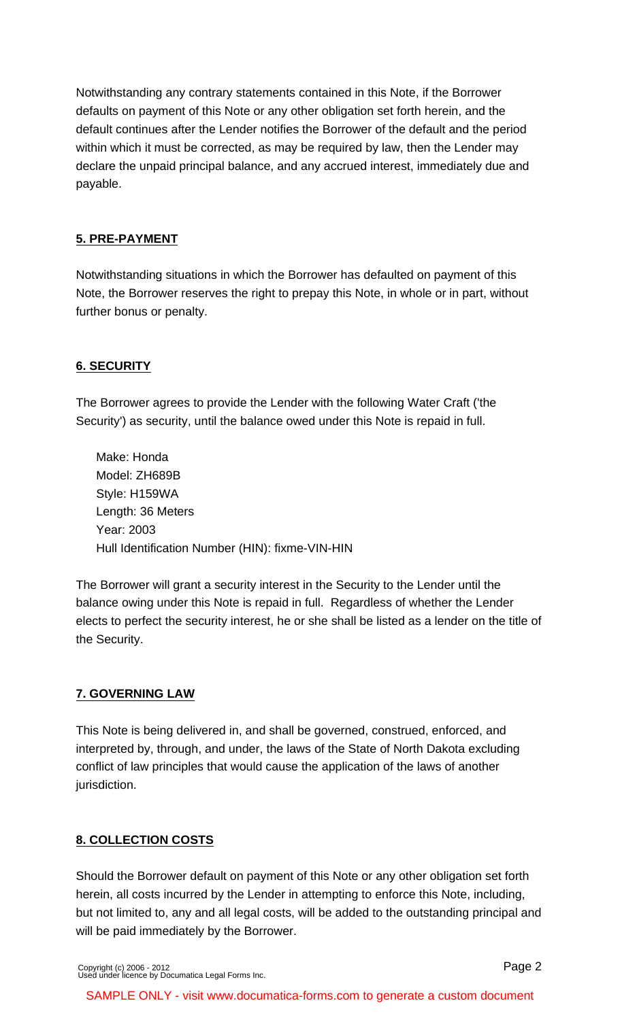Notwithstanding any contrary statements contained in this Note, if the Borrower defaults on payment of this Note or any other obligation set forth herein, and the default continues after the Lender notifies the Borrower of the default and the period within which it must be corrected, as may be required by law, then the Lender may declare the unpaid principal balance, and any accrued interest, immediately due and payable.

# **5. PRE-PAYMENT**

Notwithstanding situations in which the Borrower has defaulted on payment of this Note, the Borrower reserves the right to prepay this Note, in whole or in part, without further bonus or penalty.

# **6. SECURITY**

The Borrower agrees to provide the Lender with the following Water Craft ('the Security') as security, until the balance owed under this Note is repaid in full.

Make: Honda Model: ZH689B Style: H159WA Length: 36 Meters Year: 2003 Hull Identification Number (HIN): fixme-VIN-HIN

The Borrower will grant a security interest in the Security to the Lender until the balance owing under this Note is repaid in full. Regardless of whether the Lender elects to perfect the security interest, he or she shall be listed as a lender on the title of the Security.

### **7. GOVERNING LAW**

This Note is being delivered in, and shall be governed, construed, enforced, and interpreted by, through, and under, the laws of the State of North Dakota excluding conflict of law principles that would cause the application of the laws of another jurisdiction.

### **8. COLLECTION COSTS**

Should the Borrower default on payment of this Note or any other obligation set forth herein, all costs incurred by the Lender in attempting to enforce this Note, including, but not limited to, any and all legal costs, will be added to the outstanding principal and will be paid immediately by the Borrower.

[Copyright \(c\) 2006 - 2012](http://www.documatica-forms.com) [Used under licence by Documatica Legal Forms Inc.](http://www.documatica-forms.com)

SAMPLE ONLY - visit www.documatica-forms.com to generate a custom document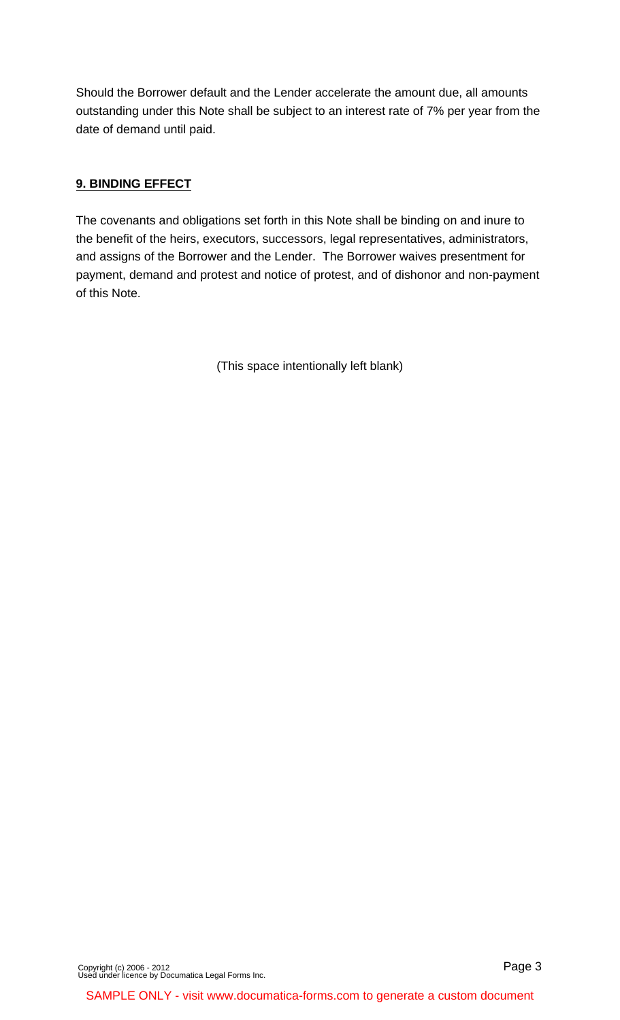Should the Borrower default and the Lender accelerate the amount due, all amounts outstanding under this Note shall be subject to an interest rate of 7% per year from the date of demand until paid.

### **9. BINDING EFFECT**

The covenants and obligations set forth in this Note shall be binding on and inure to the benefit of the heirs, executors, successors, legal representatives, administrators, and assigns of the Borrower and the Lender. The Borrower waives presentment for payment, demand and protest and notice of protest, and of dishonor and non-payment of this Note.

(This space intentionally left blank)